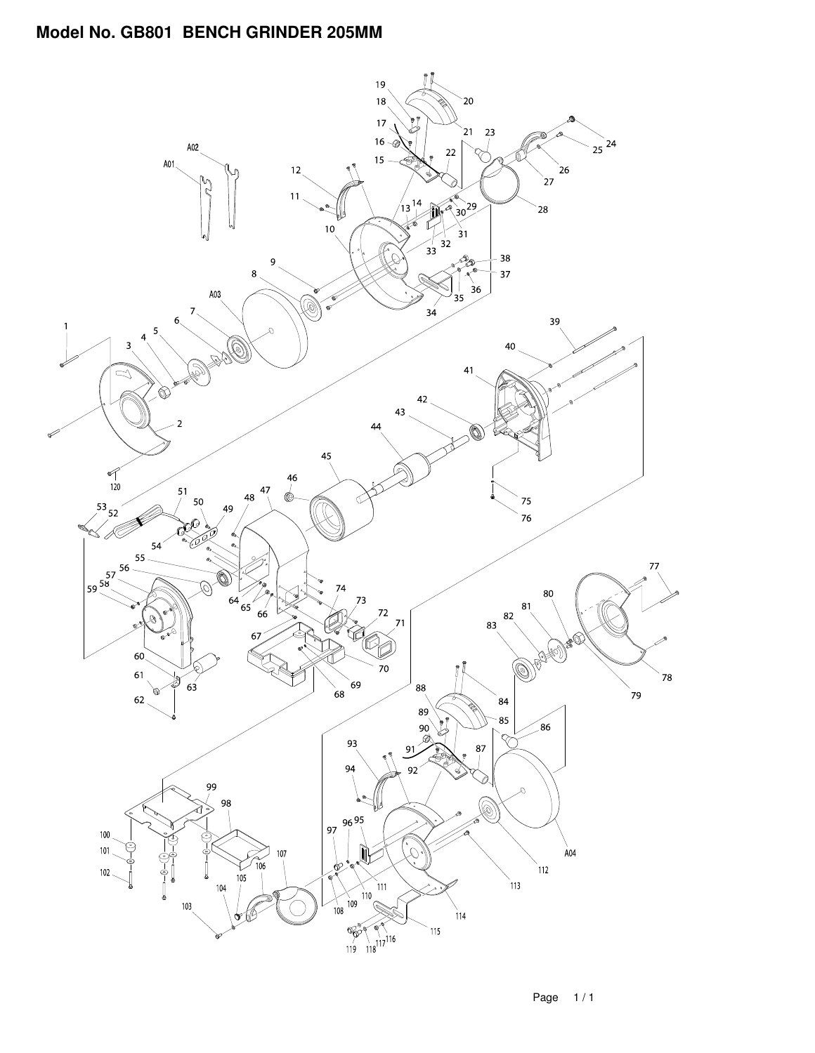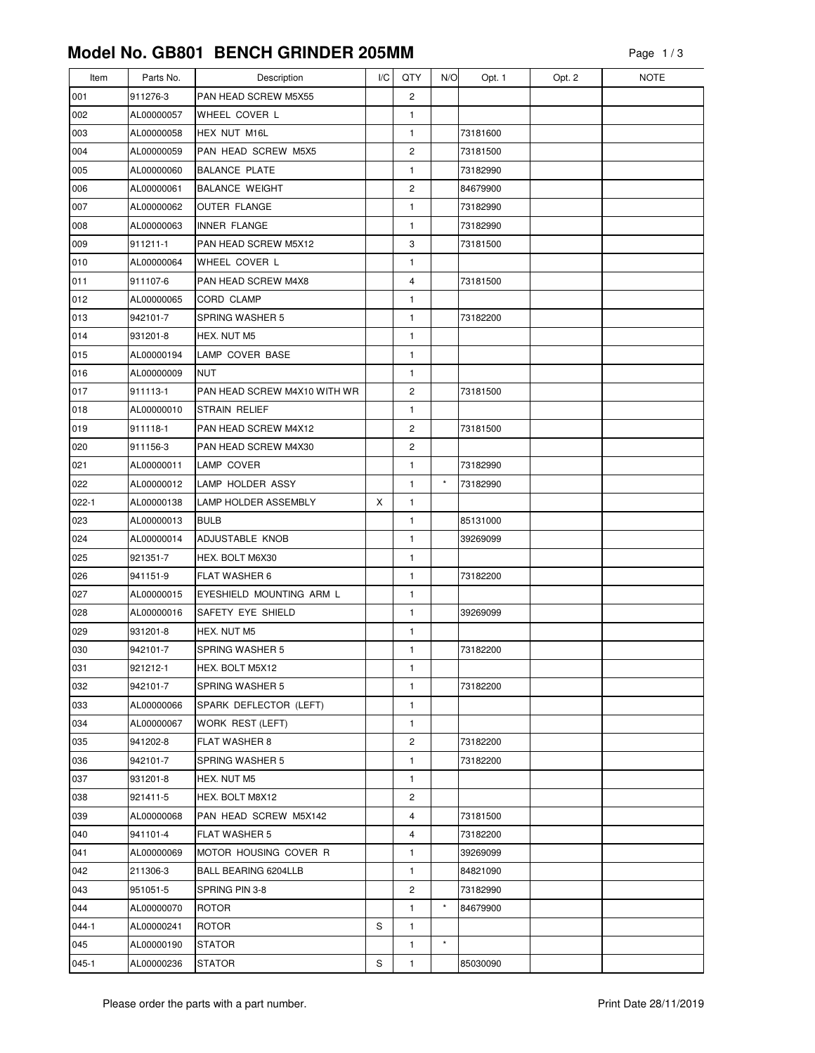| Item      | Parts No.  | Description                  | I/C | QTY | N/O     | Opt. 1   | Opt. 2 | <b>NOTE</b> |
|-----------|------------|------------------------------|-----|-----|---------|----------|--------|-------------|
| 001       | 911276-3   | PAN HEAD SCREW M5X55         |     | 2   |         |          |        |             |
| 002       | AL00000057 | WHEEL COVER L                |     | 1   |         |          |        |             |
| 003       | AL00000058 | HEX NUT M16L                 |     | 1   |         | 73181600 |        |             |
| 004       | AL00000059 | PAN HEAD SCREW M5X5          |     | 2   |         | 73181500 |        |             |
| 005       | AL00000060 | <b>BALANCE PLATE</b>         |     | 1   |         | 73182990 |        |             |
| 006       | AL00000061 | <b>BALANCE WEIGHT</b>        |     | 2   |         | 84679900 |        |             |
| 007       | AL00000062 | OUTER FLANGE                 |     | 1   |         | 73182990 |        |             |
| 008       | AL00000063 | <b>INNER FLANGE</b>          |     | 1   |         | 73182990 |        |             |
| 009       | 911211-1   | PAN HEAD SCREW M5X12         |     | 3   |         | 73181500 |        |             |
| 010       | AL00000064 | WHEEL COVER L                |     | 1   |         |          |        |             |
| 011       | 911107-6   | PAN HEAD SCREW M4X8          |     | 4   |         | 73181500 |        |             |
| 012       | AL00000065 | <b>CORD CLAMP</b>            |     | 1   |         |          |        |             |
| 013       | 942101-7   | SPRING WASHER 5              |     | 1   |         | 73182200 |        |             |
| 014       | 931201-8   | HEX. NUT M5                  |     | 1   |         |          |        |             |
| 015       | AL00000194 | LAMP COVER BASE              |     | 1   |         |          |        |             |
| 016       | AL00000009 | NUT                          |     | 1   |         |          |        |             |
| 017       | 911113-1   | PAN HEAD SCREW M4X10 WITH WR |     | 2   |         | 73181500 |        |             |
| 018       | AL00000010 | <b>STRAIN RELIEF</b>         |     | 1   |         |          |        |             |
| 019       | 911118-1   | PAN HEAD SCREW M4X12         |     | 2   |         | 73181500 |        |             |
| 020       | 911156-3   | PAN HEAD SCREW M4X30         |     | 2   |         |          |        |             |
| 021       | AL00000011 | LAMP COVER                   |     | 1   |         | 73182990 |        |             |
| 022       | AL00000012 | LAMP HOLDER ASSY             |     | 1   | $\star$ | 73182990 |        |             |
| $022 - 1$ | AL00000138 | LAMP HOLDER ASSEMBLY         | X   | 1   |         |          |        |             |
| 023       | AL00000013 | <b>BULB</b>                  |     | 1   |         | 85131000 |        |             |
| 024       | AL00000014 | ADJUSTABLE KNOB              |     | 1   |         | 39269099 |        |             |
| 025       | 921351-7   | HEX. BOLT M6X30              |     | 1   |         |          |        |             |
| 026       | 941151-9   | <b>FLAT WASHER 6</b>         |     | 1   |         | 73182200 |        |             |
| 027       | AL00000015 | EYESHIELD MOUNTING ARM L     |     | 1   |         |          |        |             |
| 028       | AL00000016 | SAFETY EYE SHIELD            |     | 1   |         | 39269099 |        |             |
| 029       | 931201-8   | HEX. NUT M5                  |     | 1   |         |          |        |             |
| 030       | 942101-7   | <b>SPRING WASHER 5</b>       |     | 1   |         | 73182200 |        |             |
| 031       | 921212-1   | HEX. BOLT M5X12              |     | 1   |         |          |        |             |
| 032       | 942101-7   | SPRING WASHER 5              |     | 1   |         | 73182200 |        |             |
| 033       | AL00000066 | SPARK DEFLECTOR (LEFT)       |     | 1   |         |          |        |             |
| 034       | AL00000067 | <b>WORK REST (LEFT)</b>      |     | 1   |         |          |        |             |
| 035       | 941202-8   | <b>FLAT WASHER 8</b>         |     | 2   |         | 73182200 |        |             |
| 036       | 942101-7   | SPRING WASHER 5              |     | 1   |         | 73182200 |        |             |
| 037       | 931201-8   | HEX. NUT M5                  |     | 1   |         |          |        |             |
| 038       | 921411-5   | HEX. BOLT M8X12              |     | 2   |         |          |        |             |
| 039       | AL00000068 | PAN HEAD SCREW M5X142        |     | 4   |         | 73181500 |        |             |
| 040       | 941101-4   | FLAT WASHER 5                |     | 4   |         | 73182200 |        |             |
| 041       | AL00000069 | MOTOR HOUSING COVER R        |     | 1   |         | 39269099 |        |             |
| 042       | 211306-3   | BALL BEARING 6204LLB         |     | 1   |         | 84821090 |        |             |
| 043       | 951051-5   | SPRING PIN 3-8               |     | 2   |         | 73182990 |        |             |
| 044       | AL00000070 | ROTOR                        |     | 1   | $\star$ | 84679900 |        |             |
| $044 - 1$ | AL00000241 | <b>ROTOR</b>                 | S   | 1   |         |          |        |             |
| 045       | AL00000190 | <b>STATOR</b>                |     | 1   | $\star$ |          |        |             |
| $045 - 1$ | AL00000236 | STATOR                       | S   | 1   |         | 85030090 |        |             |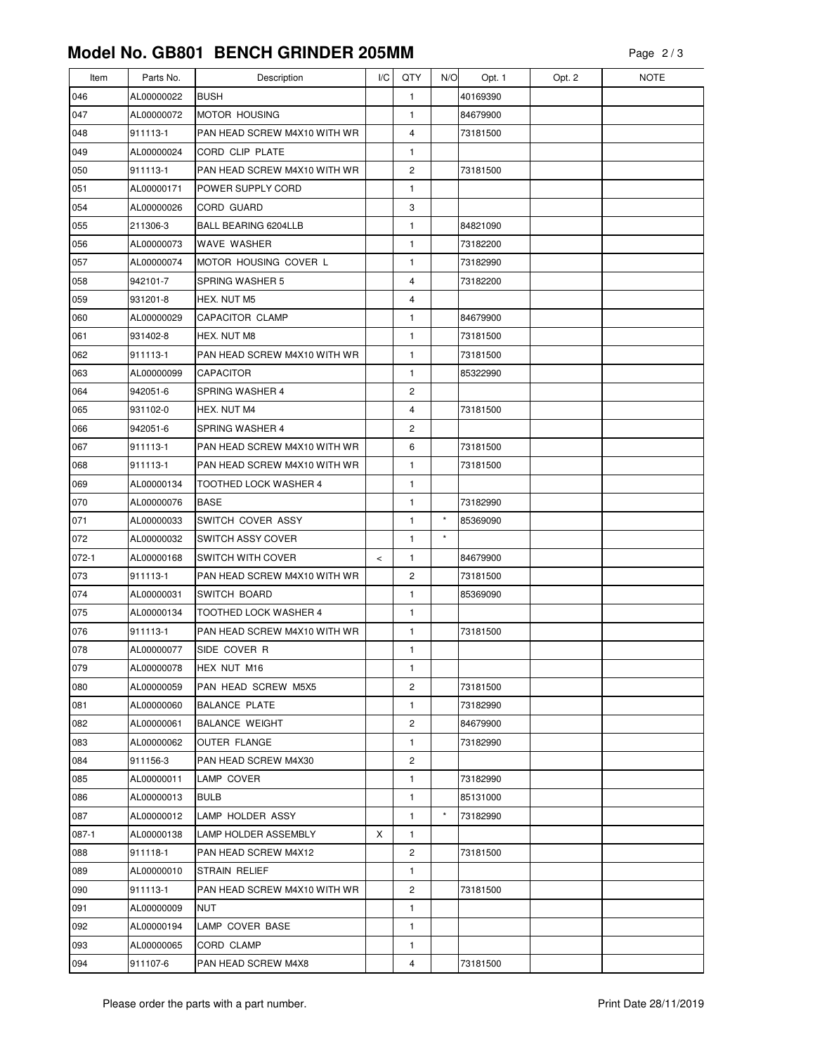| Item      | Parts No.  | Description                  | I/C   | QTY            | N/O     | Opt. 1   | Opt. 2 | <b>NOTE</b> |
|-----------|------------|------------------------------|-------|----------------|---------|----------|--------|-------------|
| 046       | AL00000022 | <b>BUSH</b>                  |       | 1              |         | 40169390 |        |             |
| 047       | AL00000072 | <b>MOTOR HOUSING</b>         |       | 1              |         | 84679900 |        |             |
| 048       | 911113-1   | PAN HEAD SCREW M4X10 WITH WR |       | 4              |         | 73181500 |        |             |
| 049       | AL00000024 | CORD CLIP PLATE              |       | 1              |         |          |        |             |
| 050       | 911113-1   | PAN HEAD SCREW M4X10 WITH WR |       | 2              |         | 73181500 |        |             |
| 051       | AL00000171 | POWER SUPPLY CORD            |       | 1              |         |          |        |             |
| 054       | AL00000026 | CORD GUARD                   |       | 3              |         |          |        |             |
| 055       | 211306-3   | BALL BEARING 6204LLB         |       | 1              |         | 84821090 |        |             |
| 056       | AL00000073 | <b>WAVE WASHER</b>           |       | 1              |         | 73182200 |        |             |
| 057       | AL00000074 | MOTOR HOUSING COVER L        |       | 1              |         | 73182990 |        |             |
| 058       | 942101-7   | SPRING WASHER 5              |       | 4              |         | 73182200 |        |             |
| 059       | 931201-8   | HEX. NUT M5                  |       | 4              |         |          |        |             |
| 060       | AL00000029 | <b>CAPACITOR CLAMP</b>       |       | 1              |         | 84679900 |        |             |
| 061       | 931402-8   | HEX. NUT M8                  |       | $\mathbf{1}$   |         | 73181500 |        |             |
| 062       | 911113-1   | PAN HEAD SCREW M4X10 WITH WR |       | 1              |         | 73181500 |        |             |
| 063       | AL00000099 | <b>CAPACITOR</b>             |       | 1              |         | 85322990 |        |             |
| 064       | 942051-6   | <b>SPRING WASHER 4</b>       |       | 2              |         |          |        |             |
| 065       | 931102-0   | HEX. NUT M4                  |       | $\overline{4}$ |         | 73181500 |        |             |
| 066       | 942051-6   | SPRING WASHER 4              |       | 2              |         |          |        |             |
| 067       | 911113-1   | PAN HEAD SCREW M4X10 WITH WR |       | 6              |         | 73181500 |        |             |
| 068       | 911113-1   | PAN HEAD SCREW M4X10 WITH WR |       | 1              |         | 73181500 |        |             |
| 069       | AL00000134 | <b>TOOTHED LOCK WASHER 4</b> |       | 1              |         |          |        |             |
| 070       | AL00000076 | <b>BASE</b>                  |       | 1              |         | 73182990 |        |             |
| 071       | AL00000033 | SWITCH COVER ASSY            |       | 1              | $\star$ | 85369090 |        |             |
| 072       | AL00000032 | <b>SWITCH ASSY COVER</b>     |       | 1              | $\star$ |          |        |             |
| $072 - 1$ | AL00000168 | <b>SWITCH WITH COVER</b>     | $\,<$ | 1              |         | 84679900 |        |             |
| 073       | 911113-1   | PAN HEAD SCREW M4X10 WITH WR |       | $\overline{c}$ |         | 73181500 |        |             |
| 074       | AL00000031 | <b>SWITCH BOARD</b>          |       | 1              |         | 85369090 |        |             |
| 075       | AL00000134 | TOOTHED LOCK WASHER 4        |       | 1              |         |          |        |             |
| 076       | 911113-1   | PAN HEAD SCREW M4X10 WITH WR |       | $\mathbf{1}$   |         | 73181500 |        |             |
| 078       | AL00000077 | SIDE COVER R                 |       | 1              |         |          |        |             |
| 079       | AL00000078 | HEX NUT M16                  |       | 1              |         |          |        |             |
| 080       | AL00000059 | PAN HEAD SCREW M5X5          |       | 2              |         | 73181500 |        |             |
| 081       | AL00000060 | <b>BALANCE PLATE</b>         |       | 1              |         | 73182990 |        |             |
| 082       | AL00000061 | <b>BALANCE WEIGHT</b>        |       | 2              |         | 84679900 |        |             |
| 083       | AL00000062 | OUTER FLANGE                 |       | 1              |         | 73182990 |        |             |
| 084       | 911156-3   | PAN HEAD SCREW M4X30         |       | 2              |         |          |        |             |
| 085       | AL00000011 | LAMP COVER                   |       | 1              |         | 73182990 |        |             |
| 086       | AL00000013 | <b>BULB</b>                  |       | 1              |         | 85131000 |        |             |
| 087       | AL00000012 | LAMP HOLDER ASSY             |       | 1              | $\star$ | 73182990 |        |             |
| 087-1     | AL00000138 | LAMP HOLDER ASSEMBLY         | X     | 1              |         |          |        |             |
| 088       | 911118-1   | PAN HEAD SCREW M4X12         |       | 2              |         | 73181500 |        |             |
| 089       | AL00000010 | STRAIN RELIEF                |       | 1              |         |          |        |             |
| 090       | 911113-1   | PAN HEAD SCREW M4X10 WITH WR |       | 2              |         | 73181500 |        |             |
| 091       | AL00000009 | NUT                          |       | 1              |         |          |        |             |
| 092       | AL00000194 | LAMP COVER BASE              |       | $\mathbf{1}$   |         |          |        |             |
| 093       | AL00000065 | CORD CLAMP                   |       | 1              |         |          |        |             |
| 094       | 911107-6   | PAN HEAD SCREW M4X8          |       | 4              |         | 73181500 |        |             |